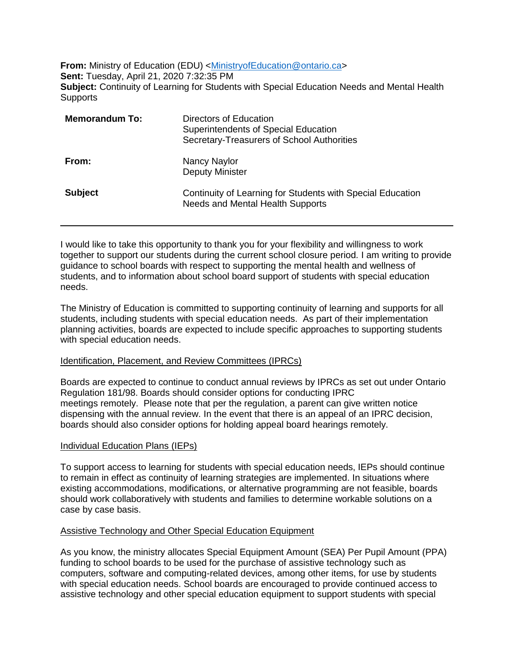**From:** Ministry of Education (EDU) <Ministry of Education @ontario.ca> **Sent:** Tuesday, April 21, 2020 7:32:35 PM **Subject:** Continuity of Learning for Students with Special Education Needs and Mental Health **Supports** 

| <b>Memorandum To:</b> | Directors of Education<br>Superintendents of Special Education<br>Secretary-Treasurers of School Authorities |
|-----------------------|--------------------------------------------------------------------------------------------------------------|
| From:                 | Nancy Naylor<br><b>Deputy Minister</b>                                                                       |
| <b>Subject</b>        | Continuity of Learning for Students with Special Education<br><b>Needs and Mental Health Supports</b>        |

I would like to take this opportunity to thank you for your flexibility and willingness to work together to support our students during the current school closure period*.* I am writing to provide guidance to school boards with respect to supporting the mental health and wellness of students, and to information about school board support of students with special education needs.

The Ministry of Education is committed to supporting continuity of learning and supports for all students, including students with special education needs. As part of their implementation planning activities, boards are expected to include specific approaches to supporting students with special education needs.

### Identification, Placement, and Review Committees (IPRCs)

Boards are expected to continue to conduct annual reviews by IPRCs as set out under Ontario Regulation 181/98. Boards should consider options for conducting IPRC meetings remotely. Please note that per the regulation, a parent can give written notice dispensing with the annual review. In the event that there is an appeal of an IPRC decision, boards should also consider options for holding appeal board hearings remotely.

### Individual Education Plans (IEPs)

To support access to learning for students with special education needs, IEPs should continue to remain in effect as continuity of learning strategies are implemented. In situations where existing accommodations, modifications, or alternative programming are not feasible, boards should work collaboratively with students and families to determine workable solutions on a case by case basis.

### Assistive Technology and Other Special Education Equipment

As you know, the ministry allocates Special Equipment Amount (SEA) Per Pupil Amount (PPA) funding to school boards to be used for the purchase of assistive technology such as computers, software and computing-related devices, among other items, for use by students with special education needs. School boards are encouraged to provide continued access to assistive technology and other special education equipment to support students with special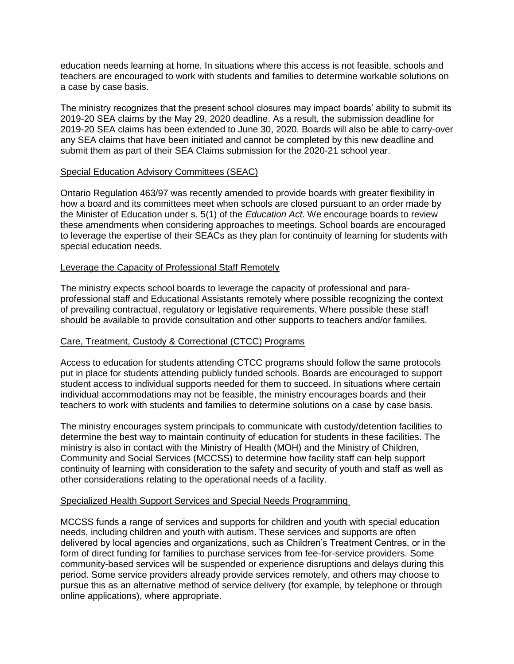education needs learning at home. In situations where this access is not feasible, schools and teachers are encouraged to work with students and families to determine workable solutions on a case by case basis.

The ministry recognizes that the present school closures may impact boards' ability to submit its 2019-20 SEA claims by the May 29, 2020 deadline. As a result, the submission deadline for 2019-20 SEA claims has been extended to June 30, 2020. Boards will also be able to carry-over any SEA claims that have been initiated and cannot be completed by this new deadline and submit them as part of their SEA Claims submission for the 2020-21 school year.

### Special Education Advisory Committees (SEAC)

Ontario Regulation 463/97 was recently amended to provide boards with greater flexibility in how a board and its committees meet when schools are closed pursuant to an order made by the Minister of Education under s. 5(1) of the *Education Act*. We encourage boards to review these amendments when considering approaches to meetings. School boards are encouraged to leverage the expertise of their SEACs as they plan for continuity of learning for students with special education needs.

## Leverage the Capacity of Professional Staff Remotely

The ministry expects school boards to leverage the capacity of professional and paraprofessional staff and Educational Assistants remotely where possible recognizing the context of prevailing contractual, regulatory or legislative requirements. Where possible these staff should be available to provide consultation and other supports to teachers and/or families.

# Care, Treatment, Custody & Correctional (CTCC) Programs

Access to education for students attending CTCC programs should follow the same protocols put in place for students attending publicly funded schools. Boards are encouraged to support student access to individual supports needed for them to succeed. In situations where certain individual accommodations may not be feasible, the ministry encourages boards and their teachers to work with students and families to determine solutions on a case by case basis.

The ministry encourages system principals to communicate with custody/detention facilities to determine the best way to maintain continuity of education for students in these facilities. The ministry is also in contact with the Ministry of Health (MOH) and the Ministry of Children, Community and Social Services (MCCSS) to determine how facility staff can help support continuity of learning with consideration to the safety and security of youth and staff as well as other considerations relating to the operational needs of a facility.

### Specialized Health Support Services and Special Needs Programming

MCCSS funds a range of services and supports for children and youth with special education needs, including children and youth with autism. These services and supports are often delivered by local agencies and organizations, such as Children's Treatment Centres, or in the form of direct funding for families to purchase services from fee-for-service providers. Some community-based services will be suspended or experience disruptions and delays during this period. Some service providers already provide services remotely, and others may choose to pursue this as an alternative method of service delivery (for example, by telephone or through online applications), where appropriate.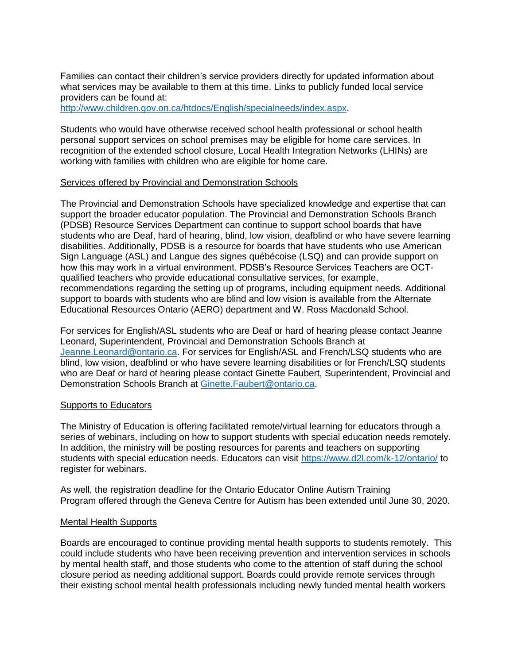Families can contact their children's service providers directly for updated information about what services may be available to them at this time. Links to publicly funded local service providers can be found at:

[http://www.children.gov.on.ca/htdocs/English/specialneeds/index.aspx.](http://www.children.gov.on.ca/htdocs/English/specialneeds/index.aspx)

Students who would have otherwise received school health professional or school health personal support services on school premises may be eligible for home care services. In recognition of the extended school closure, Local Health Integration Networks (LHINs) are working with families with children who are eligible for home care.

### Services offered by Provincial and Demonstration Schools

The Provincial and Demonstration Schools have specialized knowledge and expertise that can support the broader educator population. The Provincial and Demonstration Schools Branch (PDSB) Resource Services Department can continue to support school boards that have students who are Deaf, hard of hearing, blind, low vision, deafblind or who have severe learning disabilities. Additionally, PDSB is a resource for boards that have students who use American Sign Language (ASL) and Langue des signes québécoise (LSQ) and can provide support on how this may work in a virtual environment. PDSB's Resource Services Teachers are OCTqualified teachers who provide educational consultative services, for example, recommendations regarding the setting up of programs, including equipment needs. Additional support to boards with students who are blind and low vision is available from the Alternate Educational Resources Ontario (AERO) department and W. Ross Macdonald School.

For services for English/ASL students who are Deaf or hard of hearing please contact Jeanne Leonard, Superintendent, Provincial and Demonstration Schools Branch at [Jeanne.Leonard@ontario.ca.](mailto:Jeanne.Leonard@ontario.ca) For services for English/ASL and French/LSQ students who are blind, low vision, deafblind or who have severe learning disabilities or for French/LSQ students who are Deaf or hard of hearing please contact Ginette Faubert, Superintendent, Provincial and Demonstration Schools Branch at [Ginette.Faubert@ontario.ca.](mailto:Ginette.Faubert@ontario.ca)

### Supports to Educators

The Ministry of Education is offering facilitated remote/virtual learning for educators through a series of webinars, including on how to support students with special education needs remotely. In addition, the ministry will be posting resources for parents and teachers on supporting students with special education needs. Educators can visit<https://www.d2l.com/k-12/ontario/> to register for webinars.

As well, the registration deadline for the Ontario Educator Online Autism Training Program offered through the Geneva Centre for Autism has been extended until June 30, 2020.

### Mental Health Supports

Boards are encouraged to continue providing mental health supports to students remotely. This could include students who have been receiving prevention and intervention services in schools by mental health staff, and those students who come to the attention of staff during the school closure period as needing additional support. Boards could provide remote services through their existing school mental health professionals including newly funded mental health workers